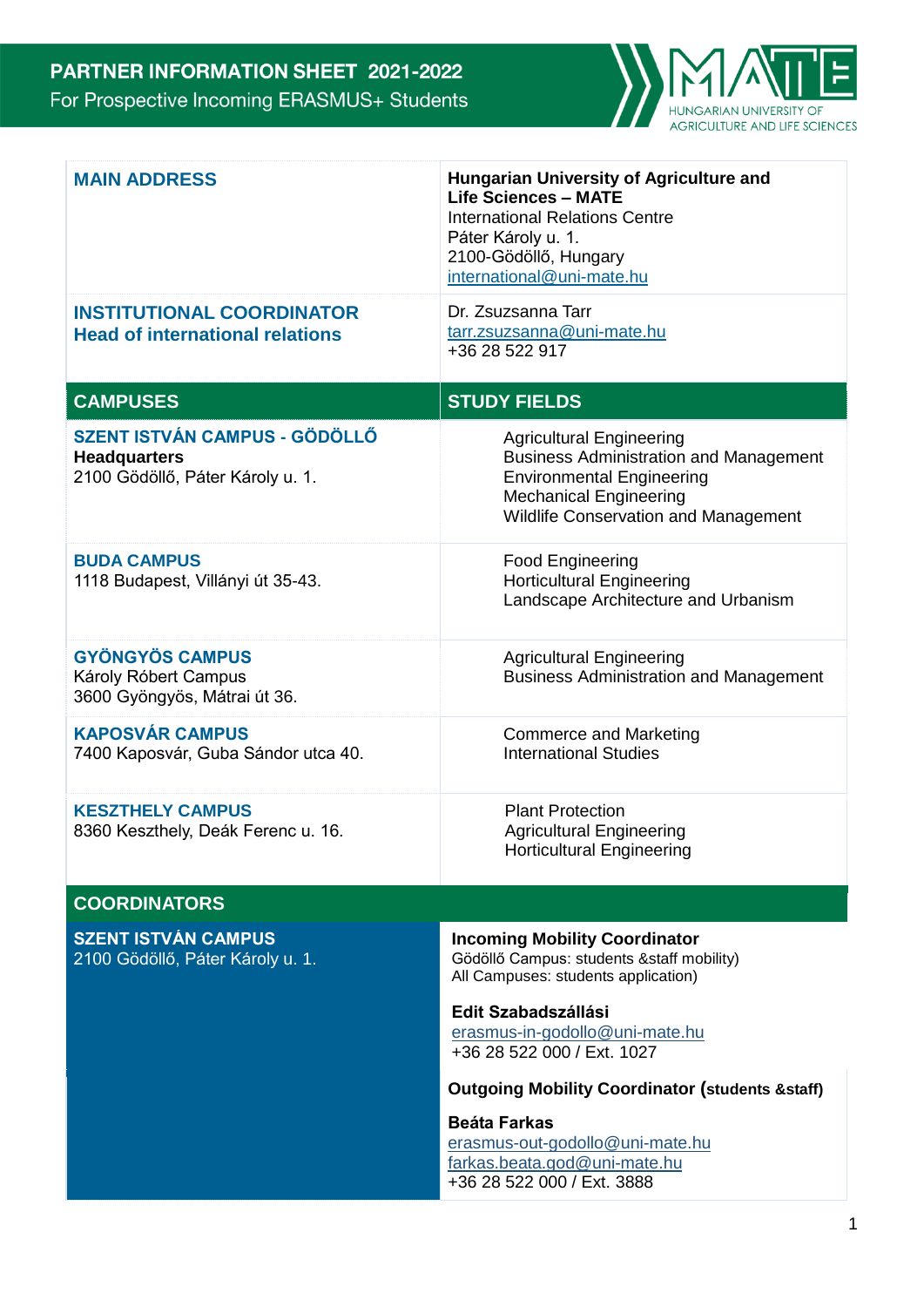

| <b>MAIN ADDRESS</b><br><b>INSTITUTIONAL COORDINATOR</b><br><b>Head of international relations</b> | <b>Hungarian University of Agriculture and</b><br><b>Life Sciences - MATE</b><br><b>International Relations Centre</b><br>Páter Károly u. 1.<br>2100-Gödöllő, Hungary<br>international@uni-mate.hu<br>Dr. Zsuzsanna Tarr<br>tarr.zsuzsanna@uni-mate.hu<br>+36 28 522 917 |
|---------------------------------------------------------------------------------------------------|--------------------------------------------------------------------------------------------------------------------------------------------------------------------------------------------------------------------------------------------------------------------------|
| <b>CAMPUSES</b>                                                                                   | <b>STUDY FIELDS</b>                                                                                                                                                                                                                                                      |
| <b>SZENT ISTVÁN CAMPUS - GÖDÖLLŐ</b><br><b>Headquarters</b><br>2100 Gödöllő, Páter Károly u. 1.   | <b>Agricultural Engineering</b><br><b>Business Administration and Management</b><br><b>Environmental Engineering</b><br><b>Mechanical Engineering</b><br><b>Wildlife Conservation and Management</b>                                                                     |
| <b>BUDA CAMPUS</b><br>1118 Budapest, Villányi út 35-43.                                           | <b>Food Engineering</b><br><b>Horticultural Engineering</b><br>Landscape Architecture and Urbanism                                                                                                                                                                       |
| <b>GYÖNGYÖS CAMPUS</b><br>Károly Róbert Campus<br>3600 Gyöngyös, Mátrai út 36.                    | <b>Agricultural Engineering</b><br><b>Business Administration and Management</b>                                                                                                                                                                                         |
| <b>KAPOSVÁR CAMPUS</b><br>7400 Kaposvár, Guba Sándor utca 40.                                     | <b>Commerce and Marketing</b><br><b>International Studies</b>                                                                                                                                                                                                            |
| <b>KESZTHELY CAMPUS</b><br>8360 Keszthely, Deák Ferenc u. 16.                                     | <b>Plant Protection</b><br><b>Agricultural Engineering</b><br><b>Horticultural Engineering</b>                                                                                                                                                                           |
| <b>COORDINATORS</b>                                                                               |                                                                                                                                                                                                                                                                          |
| <b>SZENT ISTVÁN CAMPUS</b><br>2100 Gödöllő, Páter Károly u. 1.                                    | <b>Incoming Mobility Coordinator</b><br>Gödöllő Campus: students & staff mobility)<br>All Campuses: students application)                                                                                                                                                |
|                                                                                                   | Edit Szabadszállási<br>erasmus-in-godollo@uni-mate.hu<br>+36 28 522 000 / Ext. 1027                                                                                                                                                                                      |
|                                                                                                   | <b>Outgoing Mobility Coordinator (students &amp; staff)</b>                                                                                                                                                                                                              |
|                                                                                                   | <b>Beáta Farkas</b><br>erasmus-out-godollo@uni-mate.hu<br>farkas.beata.god@uni-mate.hu<br>+36 28 522 000 / Ext. 3888                                                                                                                                                     |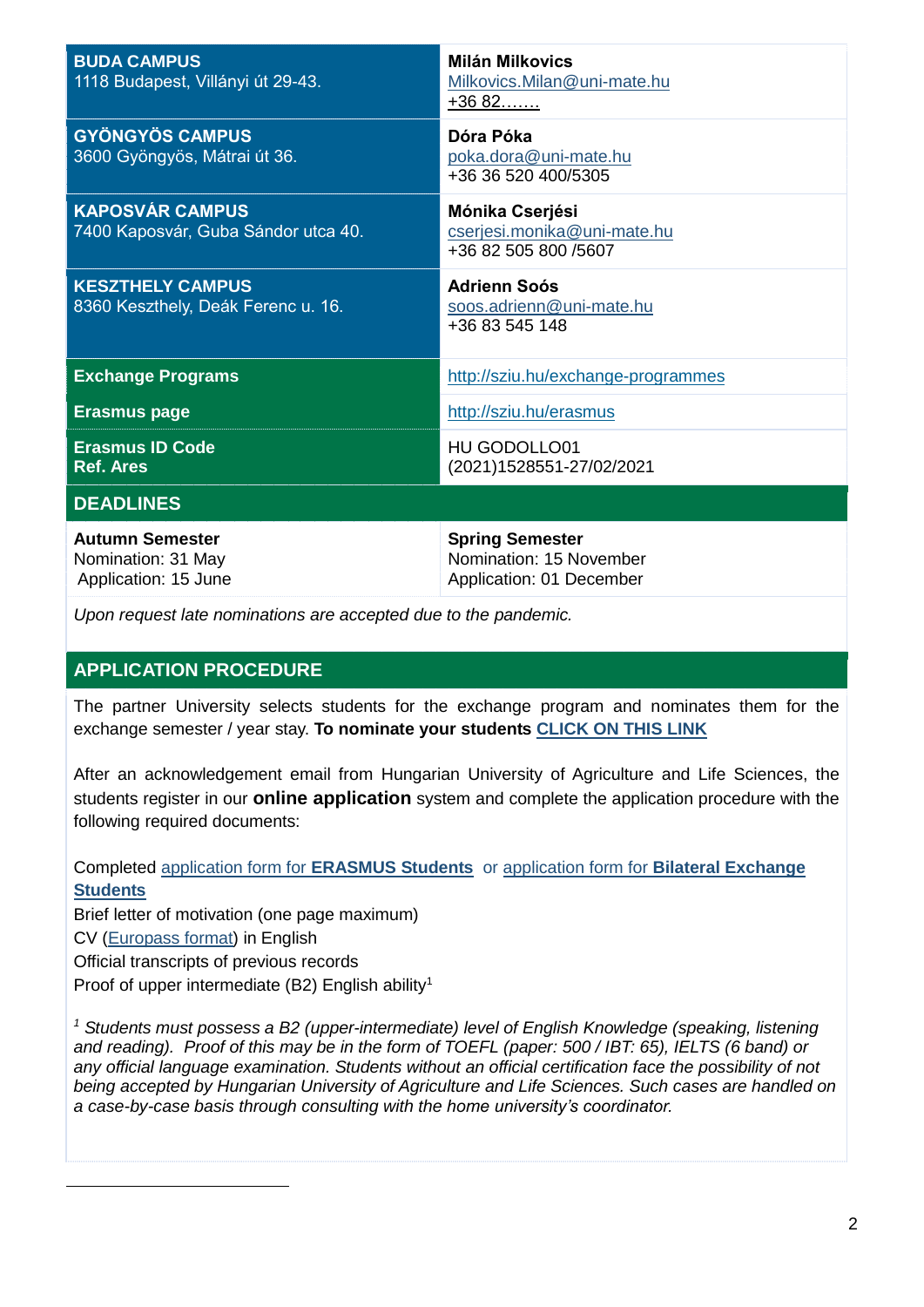| <b>BUDA CAMPUS</b><br>1118 Budapest, Villányi út 29-43.              | <b>Milán Milkovics</b><br>Milkovics.Milan@uni-mate.hu<br>$+3682$              |
|----------------------------------------------------------------------|-------------------------------------------------------------------------------|
| <b>GYÖNGYÖS CAMPUS</b><br>3600 Gyöngyös, Mátrai út 36.               | Dóra Póka<br>poka.dora@uni-mate.hu<br>+36 36 520 400/5305                     |
| <b>KAPOSVÁR CAMPUS</b><br>7400 Kaposvár, Guba Sándor utca 40.        | Mónika Cserjési<br>cserjesi.monika@uni-mate.hu<br>+36 82 505 800 /5607        |
| <b>KESZTHELY CAMPUS</b><br>8360 Keszthely, Deák Ferenc u. 16.        | <b>Adrienn Soós</b><br>soos.adrienn@uni-mate.hu<br>+36 83 545 148             |
| <b>Exchange Programs</b>                                             | http://sziu.hu/exchange-programmes                                            |
| <b>Erasmus page</b>                                                  | http://sziu.hu/erasmus                                                        |
| <b>Erasmus ID Code</b><br><b>Ref. Ares</b>                           | <b>HU GODOLLO01</b><br>(2021)1528551-27/02/2021                               |
| <b>DEADLINES</b>                                                     |                                                                               |
| <b>Autumn Semester</b><br>Nomination: 31 May<br>Application: 15 June | <b>Spring Semester</b><br>Nomination: 15 November<br>Application: 01 December |

*Upon request late nominations are accepted due to the pandemic.*

# **APPLICATION PROCEDURE**

The partner University selects students for the exchange program and nominates them for the exchange semester / year stay. **To nominate your students [CLICK ON THIS LINK](https://docs.google.com/forms/d/e/1FAIpQLSdkJ0oQ5rlZT74v3Z9TZvmK-GjwHTQ1YysyQBCg8CO6v5qSTw/viewform)**

After an acknowledgement email from Hungarian University of Agriculture and Life Sciences, the students register in our **online application** system and complete the application procedure with the following required documents:

 Completed application form for **[ERASMUS Students](https://www.service4mobility.com/europe/BewerbungServlet?identifier=GODOLLO01&kz_bew_art=IN&kz_bew_pers=S&sprache=en&aust_prog=SMS)** or application form for **[Bilateral Exchange](https://www.service4mobility.com/europe/BewerbungServlet?identifier=GODOLLO01&kz_bew_art=IN&kz_bew_pers=S&sprache=en&aust_prog=EBBA)  [Students](https://www.service4mobility.com/europe/BewerbungServlet?identifier=GODOLLO01&kz_bew_art=IN&kz_bew_pers=S&sprache=en&aust_prog=EBBA)**

 Brief letter of motivation (one page maximum) CV [\(Europass](http://europass.cedefop.europa.eu/en/documents/curriculum-vitae) [format\)](http://europass.cedefop.europa.eu/en/documents/curriculum-vitae) in English Official transcripts of previous records Proof of upper intermediate (B2) English ability<sup>1</sup>

l

*<sup>1</sup> Students must possess a B2 (upper-intermediate) level of English Knowledge (speaking, listening and reading). Proof of this may be in the form of TOEFL (paper: 500 / IBT: 65), IELTS (6 band) or any official language examination. Students without an official certification face the possibility of not being accepted by Hungarian University of Agriculture and Life Sciences. Such cases are handled on a case-by-case basis through consulting with the home university's coordinator.*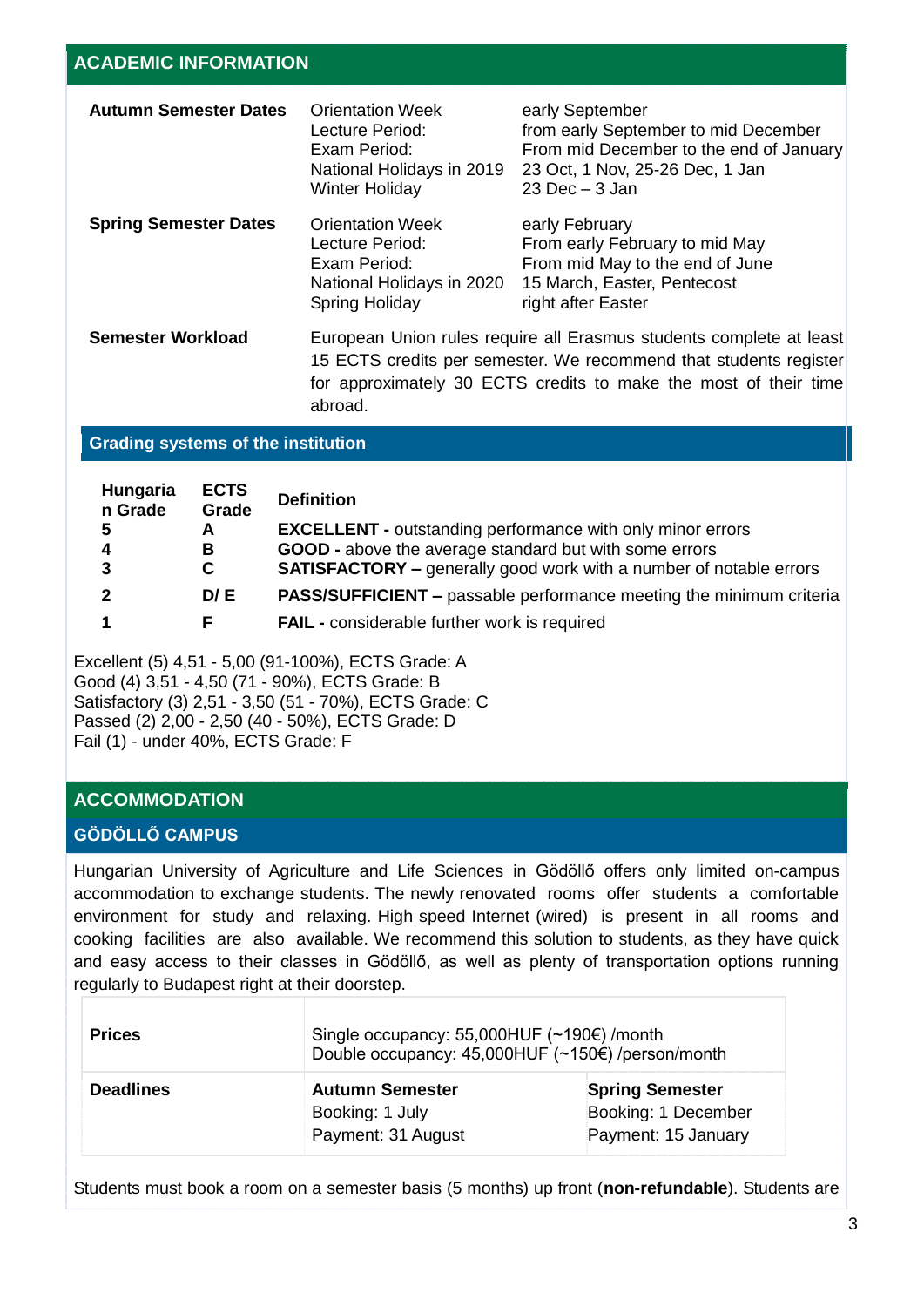| <b>Autumn Semester Dates</b> | <b>Orientation Week</b><br>Lecture Period:<br>Exam Period:<br>National Holidays in 2019<br><b>Winter Holiday</b>                                                                                                        | early September<br>from early September to mid December<br>From mid December to the end of January<br>23 Oct, 1 Nov, 25-26 Dec, 1 Jan<br>$23$ Dec $-3$ Jan |
|------------------------------|-------------------------------------------------------------------------------------------------------------------------------------------------------------------------------------------------------------------------|------------------------------------------------------------------------------------------------------------------------------------------------------------|
| <b>Spring Semester Dates</b> | <b>Orientation Week</b><br>Lecture Period:<br>Exam Period:<br>National Holidays in 2020<br>Spring Holiday                                                                                                               | early February<br>From early February to mid May<br>From mid May to the end of June<br>15 March, Easter, Pentecost<br>right after Easter                   |
| <b>Semester Workload</b>     | European Union rules require all Erasmus students complete at least<br>15 ECTS credits per semester. We recommend that students register<br>for approximately 30 ECTS credits to make the most of their time<br>abroad. |                                                                                                                                                            |

### **Grading systems of the institution**

| Hungaria<br>n Grade     | <b>ECTS</b><br>Grade | <b>Definition</b>                                                          |
|-------------------------|----------------------|----------------------------------------------------------------------------|
| -5                      | A                    | <b>EXCELLENT</b> - outstanding performance with only minor errors          |
| $\overline{\mathbf{4}}$ | В                    | GOOD - above the average standard but with some errors                     |
| $\mathbf{3}$            | C                    | <b>SATISFACTORY</b> – generally good work with a number of notable errors  |
| $\overline{2}$          | D/E                  | <b>PASS/SUFFICIENT</b> – passable performance meeting the minimum criteria |
|                         |                      | <b>FAIL</b> - considerable further work is required                        |

Excellent (5) 4,51 - 5,00 (91-100%), ECTS Grade: A Good (4) 3,51 - 4,50 (71 - 90%), ECTS Grade: B Satisfactory (3) 2,51 - 3,50 (51 - 70%), ECTS Grade: C Passed (2) 2,00 - 2,50 (40 - 50%), ECTS Grade: D Fail (1) - under 40%, ECTS Grade: F

# **ACCOMMODATION**

### **GÖDÖLLŐ CAMPUS**

Hungarian University of Agriculture and Life Sciences in Gödöllő offers only limited on-campus accommodation to exchange students. The newly renovated rooms offer students a comfortable environment for study and relaxing. High speed Internet (wired) is present in all rooms and cooking facilities are also available. We recommend this solution to students, as they have quick and easy access to their classes in Gödöllő, as well as plenty of transportation options running regularly to Budapest right at their doorstep.

| <b>Prices</b>    | Single occupancy: 55,000HUF $(\sim 190 \epsilon)$ /month<br>Double occupancy: 45,000HUF (~150€) /person/month |                                                                      |
|------------------|---------------------------------------------------------------------------------------------------------------|----------------------------------------------------------------------|
| <b>Deadlines</b> | <b>Autumn Semester</b><br>Booking: 1 July<br>Payment: 31 August                                               | <b>Spring Semester</b><br>Booking: 1 December<br>Payment: 15 January |

Students must book a room on a semester basis (5 months) up front (**non-refundable**). Students are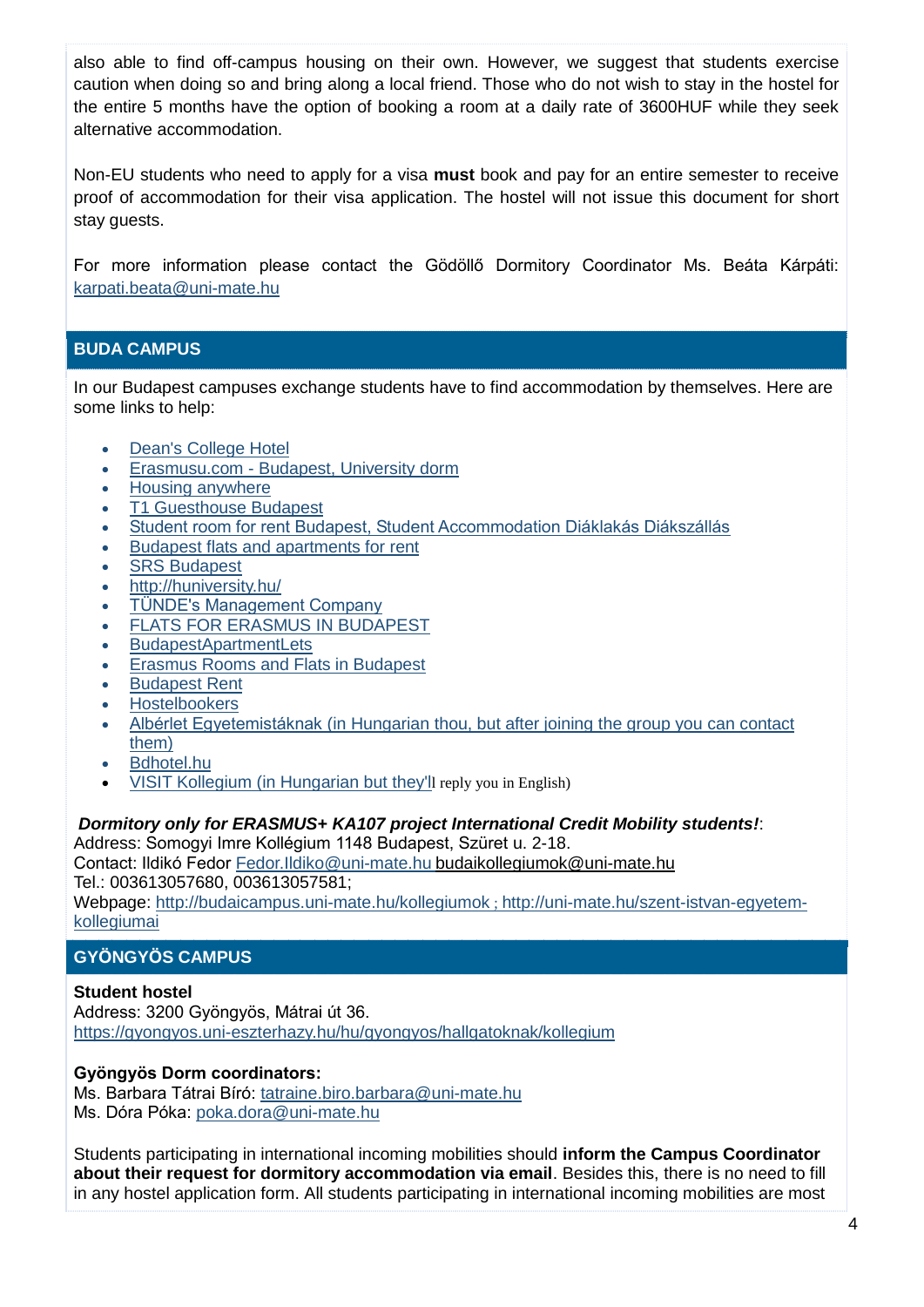also able to find off-campus housing on their own. However, we suggest that students exercise caution when doing so and bring along a local friend. Those who do not wish to stay in the hostel for the entire 5 months have the option of booking a room at a daily rate of 3600HUF while they seek alternative accommodation.

Non-EU students who need to apply for a visa **must** book and pay for an entire semester to receive proof of accommodation for their visa application. The hostel will not issue this document for short stay guests.

For more information please contact the Gödöllő Dormitory Coordinator Ms. Beáta Kárpáti: [karpati.beata@uni-mate.hu](mailto:karpati.beata@szie.hu) 

# **BUDA CAMPUS**

In our Budapest campuses exchange students have to find accommodation by themselves. Here are some links to help:

- [Dean's College Hotel](https://deanscollegehotel.com/)
- Erasmusu.com [Budapest, University dorm](https://erasmusu.com/en/erasmus-budapest/university-dorm?gclid=EAIaIQobChMIu-XIuP-h5wIVl8qyCh3j3wZ6EAAYASAAEgI90fD_BwE&fbclid=IwAR1VOThHyTKsal2_WLHD1IMrbVJujpOGKhYhRyRV_FC4lHwq-PNfQprE99E)
- [Housing anywhere](https://housinganywhere.com/)
- [T1 Guesthouse Budapest](https://www.t1budapest.com/en-us)
- [Student room for rent Budapest, Student Accommodation Diáklakás Diákszállás](https://www.facebook.com/studentroomforrentBudapest/)
- [Budapest flats and apartments for rent](https://www.facebook.com/groups/249052758449086/?ref=group_header)
- [SRS Budapest](http://www.srs-budapest.hu/)
- <http://huniversity.hu/>
- [TÜNDE's Management Company](http://www.tmc.co.hu/)
- [FLATS FOR ERASMUS IN BUDAPEST](https://www.facebook.com/groups/306915466086335/)
- [BudapestApartmentLets](https://www.facebook.com/groups/budapestlets/)
- [Erasmus Rooms and Flats in Budapest](https://www.facebook.com/pages/Erasmus-Rooms-and-Flats-in-Budapest/201704646535237?ref=br_rs)
- [Budapest Rent](http://www.budapestrent.com/)
- **[Hostelbookers](http://www.hostelbookers.com/search/city/50/arr/2016-12-07/ngt/3/ppl/1/)**
- [Albérlet Egyetemistáknak](https://www.facebook.com/groups/291688757548435/) (in Hungarian thou, but after joining the group you can contact them)
- [Bdhotel.hu](http://www.bdhotel.hu/index.php?menu=englishsum)
- [VISIT Kollegium](https://www.facebook.com/visitkollegium/) (in Hungarian but they'll reply you in English)

### *Dormitory only for ERASMUS+ KA107 project International Credit Mobility students!*:

Address: Somogyi Imre Kollégium 1148 Budapest, Szüret u. 2-18.

Contact: Ildikó Fedor [Fedor.Ildiko@uni-mate.hu](mailto:Fedor.Ildiko@szie.hu) [budaikollegiumok@uni-mate.hu](mailto:budaikollegiumok@szie.hu)

Tel.: 003613057680, 003613057581;

Webpage: [http://budaicampus.uni-mate.hu/kollegiumok](http://budaicampus.szie.hu/kollegiumok) ; [http://uni-mate.hu/szent-istvan-egyetem](http://szie.hu/szent-istvan-egyetem-kollegiumai)[kollegiumai](http://szie.hu/szent-istvan-egyetem-kollegiumai)

# **GYÖNGYÖS CAMPUS**

### **Student hostel**

Address: 3200 Gyöngyös, Mátrai út 36. <https://gyongyos.uni-eszterhazy.hu/hu/gyongyos/hallgatoknak/kollegium>

## **Gyöngyös Dorm coordinators:**

Ms. Barbara Tátrai Bíró: [tatraine.biro.barbara@uni-mate.hu](mailto:tatraine.biro.barbara@szie.hu) Ms. Dóra Póka: [poka.dora@uni-mate.hu](http://poka.dora@szie.hu)

Students participating in international incoming mobilities should **inform the Campus Coordinator about their request for dormitory accommodation via email**. Besides this, there is no need to fill in any hostel application form. All students participating in international incoming mobilities are most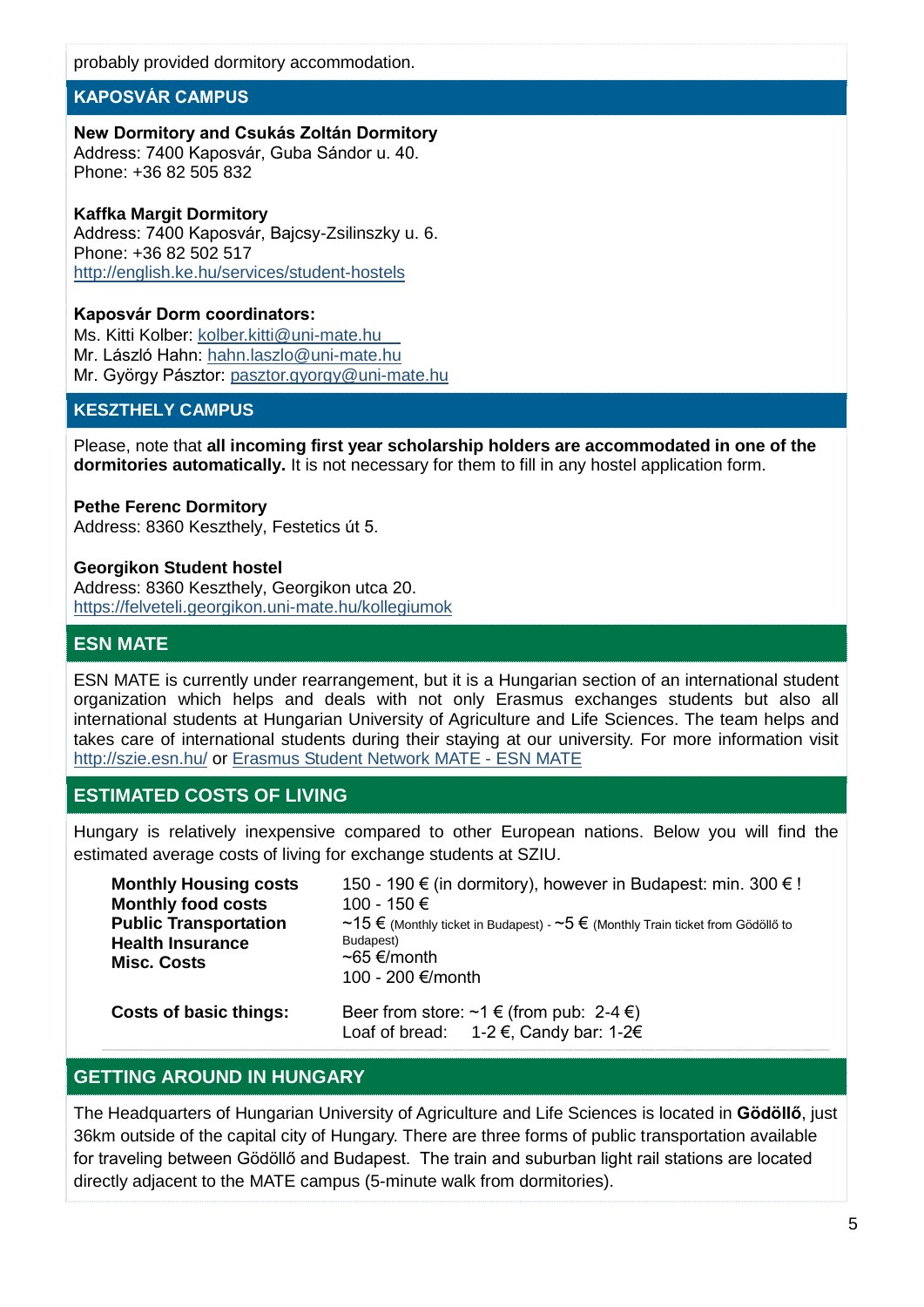probably provided dormitory accommodation.

### **[KAPOSVÁR CAMPUS](http://www.english.ke.hu/)**

## **New Dormitory and Csukás Zoltán Dormitory**

Address: 7400 Kaposvár, Guba Sándor u. 40. Phone: +36 82 505 832

### **Kaffka Margit Dormitory**

Address: 7400 Kaposvár, Bajcsy-Zsilinszky u. 6. Phone: +36 82 502 517 <http://english.ke.hu/services/student-hostels>

### **Kaposvár Dorm coordinators:**

Ms. Kitti Kolber: [kolber.kitti@uni-mate.hu](mailto:kolber.kitti@szie.hu) Mr. László Hahn: [hahn.laszlo@uni-mate.hu](mailto:hahn.laszlo@szie.hu) Mr. György Pásztor: [pasztor.gyorgy@uni-mate.hu](mailto:pasztor.gyorgy@szie.hu)

## **KESZTHELY CAMPUS**

Please, note that **all incoming first year scholarship holders are accommodated in one of the dormitories automatically.** It is not necessary for them to fill in any hostel application form.

#### **Pethe Ferenc Dormitory**

Address: 8360 Keszthely, Festetics út 5.

#### **Georgikon Student hostel**

Address: 8360 Keszthely, Georgikon utca 20. [https://felveteli.georgikon.uni-mate.hu/kollegiumok](https://felveteli.georgikon.szie.hu/kollegiumok)

# **ESN MATE**

ESN MATE is currently under rearrangement, but it is a Hungarian section of an international student organization which helps and deals with not only Erasmus exchanges students but also all international students at Hungarian University of Agriculture and Life Sciences. The team helps and takes care of international students during their staying at our university. For more information visit <http://szie.esn.hu/> or [Erasmus Student Network MATE](https://www.facebook.com/ESNMATE) - ESN MATE

## **ESTIMATED COSTS OF LIVING**

Hungary is relatively inexpensive compared to other European nations. Below you will find the estimated average costs of living for exchange students at SZIU.

| <b>Monthly Housing costs</b><br><b>Monthly food costs</b><br><b>Public Transportation</b><br><b>Health Insurance</b><br><b>Misc. Costs</b> | 150 - 190 € (in dormitory), however in Budapest: min. 300 € !<br>100 - 150 €<br>~15 € (Monthly ticket in Budapest) - ~5 € (Monthly Train ticket from Gödöllő to<br>Budapest)<br>$~565$ €/month<br>100 - 200 €/month |
|--------------------------------------------------------------------------------------------------------------------------------------------|---------------------------------------------------------------------------------------------------------------------------------------------------------------------------------------------------------------------|
| <b>Costs of basic things:</b>                                                                                                              | Beer from store: $\sim 1 \in$ (from pub: 2-4 $\in$ )<br>Loaf of bread: $1-2 \in$ , Candy bar: 1-2 $\in$                                                                                                             |

## **GETTING AROUND IN HUNGARY**

The Headquarters of Hungarian University of Agriculture and Life Sciences is located in **Gödöllő**, just 36km outside of the capital city of Hungary. There are three forms of public transportation available for traveling between Gödöllő and Budapest. The train and suburban light rail stations are located directly adjacent to the MATE campus (5-minute walk from dormitories).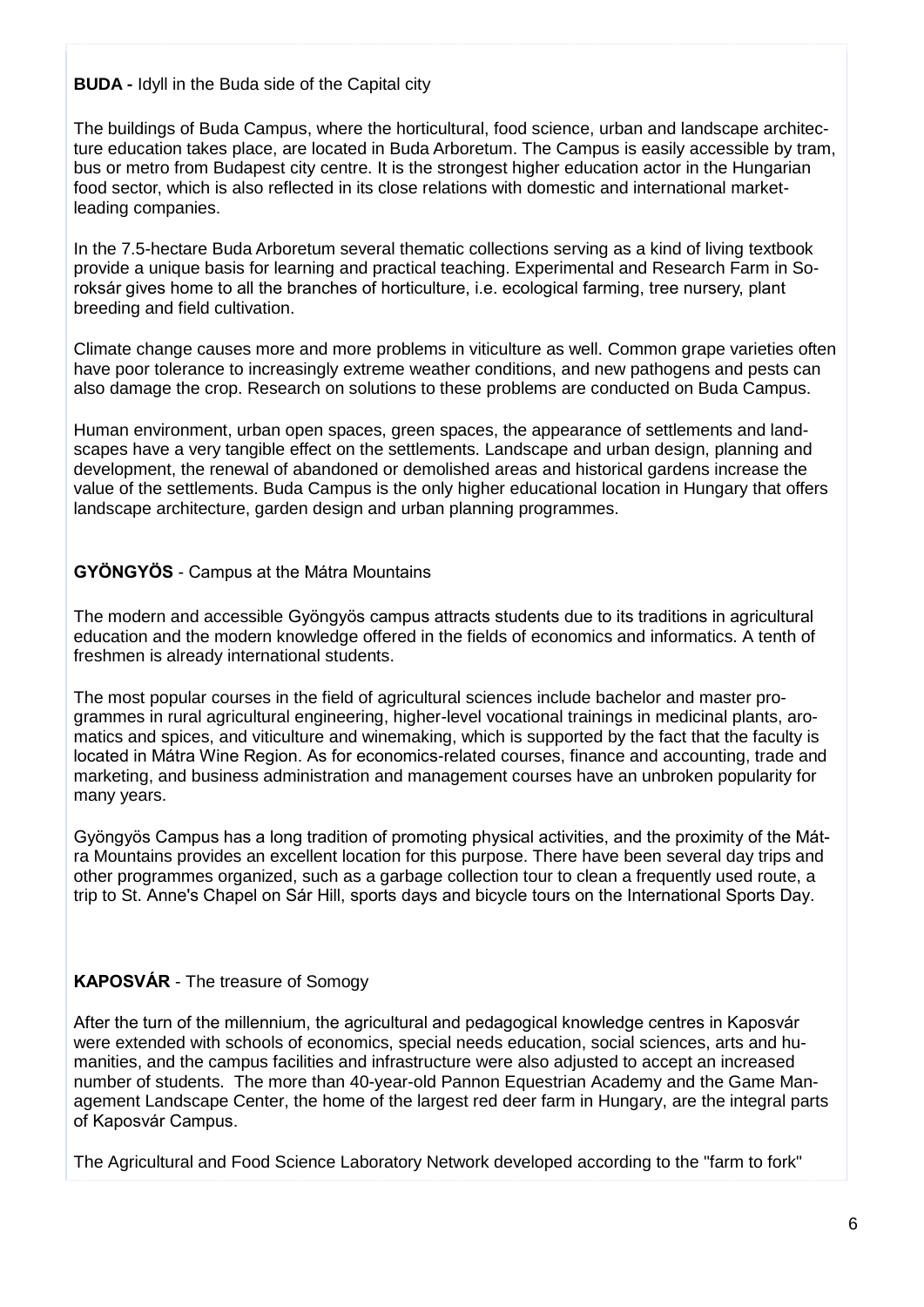## **BUDA -** Idyll in the Buda side of the Capital city

The buildings of Buda Campus, where the horticultural, food science, urban and landscape architecture education takes place, are located in Buda Arboretum. The Campus is easily accessible by tram, bus or metro from Budapest city centre. It is the strongest higher education actor in the Hungarian food sector, which is also reflected in its close relations with domestic and international marketleading companies.

In the 7.5-hectare Buda Arboretum several thematic collections serving as a kind of living textbook provide a unique basis for learning and practical teaching. Experimental and Research Farm in Soroksár gives home to all the branches of horticulture, i.e. ecological farming, tree nursery, plant breeding and field cultivation.

Climate change causes more and more problems in viticulture as well. Common grape varieties often have poor tolerance to increasingly extreme weather conditions, and new pathogens and pests can also damage the crop. Research on solutions to these problems are conducted on Buda Campus.

Human environment, urban open spaces, green spaces, the appearance of settlements and landscapes have a very tangible effect on the settlements. Landscape and urban design, planning and development, the renewal of abandoned or demolished areas and historical gardens increase the value of the settlements. Buda Campus is the only higher educational location in Hungary that offers landscape architecture, garden design and urban planning programmes.

# **GYÖNGYÖS** - Campus at the Mátra Mountains

The modern and accessible Gyöngyös campus attracts students due to its traditions in agricultural education and the modern knowledge offered in the fields of economics and informatics. A tenth of freshmen is already international students.

The most popular courses in the field of agricultural sciences include bachelor and master programmes in rural agricultural engineering, higher-level vocational trainings in medicinal plants, aromatics and spices, and viticulture and winemaking, which is supported by the fact that the faculty is located in Mátra Wine Region. As for economics-related courses, finance and accounting, trade and marketing, and business administration and management courses have an unbroken popularity for many years.

Gyöngyös Campus has a long tradition of promoting physical activities, and the proximity of the Mátra Mountains provides an excellent location for this purpose. There have been several day trips and other programmes organized, such as a garbage collection tour to clean a frequently used route, a trip to St. Anne's Chapel on Sár Hill, sports days and bicycle tours on the International Sports Day.

# **KAPOSVÁR** - The treasure of Somogy

After the turn of the millennium, the agricultural and pedagogical knowledge centres in Kaposvár were extended with schools of economics, special needs education, social sciences, arts and humanities, and the campus facilities and infrastructure were also adjusted to accept an increased number of students. The more than 40-year-old Pannon Equestrian Academy and the Game Management Landscape Center, the home of the largest red deer farm in Hungary, are the integral parts of Kaposvár Campus.

The Agricultural and Food Science Laboratory Network developed according to the "farm to fork"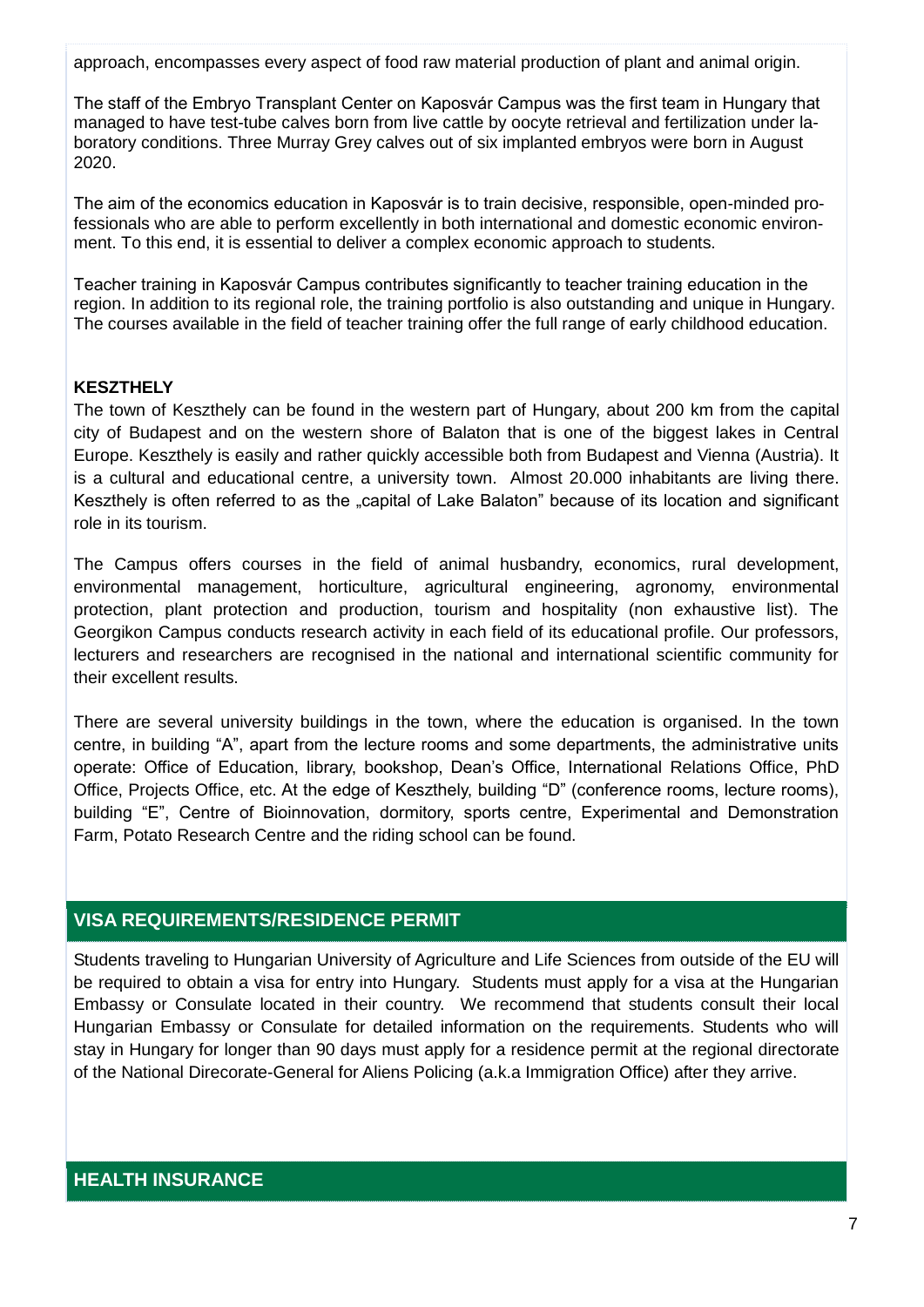approach, encompasses every aspect of food raw material production of plant and animal origin.

The staff of the Embryo Transplant Center on Kaposvár Campus was the first team in Hungary that managed to have test-tube calves born from live cattle by oocyte retrieval and fertilization under laboratory conditions. Three Murray Grey calves out of six implanted embryos were born in August 2020.

The aim of the economics education in Kaposvár is to train decisive, responsible, open-minded professionals who are able to perform excellently in both international and domestic economic environment. To this end, it is essential to deliver a complex economic approach to students.

Teacher training in Kaposvár Campus contributes significantly to teacher training education in the region. In addition to its regional role, the training portfolio is also outstanding and unique in Hungary. The courses available in the field of teacher training offer the full range of early childhood education.

### **KESZTHELY**

The town of Keszthely can be found in the western part of Hungary, about 200 km from the capital city of Budapest and on the western shore of Balaton that is one of the biggest lakes in Central Europe. Keszthely is easily and rather quickly accessible both from Budapest and Vienna (Austria). It is a cultural and educational centre, a university town. Almost 20.000 inhabitants are living there. Keszthely is often referred to as the "capital of Lake Balaton" because of its location and significant role in its tourism.

The Campus offers courses in the field of animal husbandry, economics, rural development, environmental management, horticulture, agricultural engineering, agronomy, environmental protection, plant protection and production, tourism and hospitality (non exhaustive list). The Georgikon Campus conducts research activity in each field of its educational profile. Our professors, lecturers and researchers are recognised in the national and international scientific community for their excellent results.

There are several university buildings in the town, where the education is organised. In the town centre, in building "A", apart from the lecture rooms and some departments, the administrative units operate: Office of Education, library, bookshop, Dean's Office, International Relations Office, PhD Office, Projects Office, etc. At the edge of Keszthely, building "D" (conference rooms, lecture rooms), building "E", Centre of Bioinnovation, dormitory, sports centre, Experimental and Demonstration Farm, Potato Research Centre and the riding school can be found.

## **VISA REQUIREMENTS/RESIDENCE PERMIT**

Students traveling to Hungarian University of Agriculture and Life Sciences from outside of the EU will be required to obtain a visa for entry into Hungary. Students must apply for a visa at the Hungarian Embassy or Consulate located in their country. We recommend that students consult their local Hungarian Embassy or Consulate for detailed information on the requirements. Students who will stay in Hungary for longer than 90 days must apply for a residence permit at the regional directorate of the National Direcorate-General for Aliens Policing (a.k.a Immigration Office) after they arrive.

## **HEALTH INSURANCE**